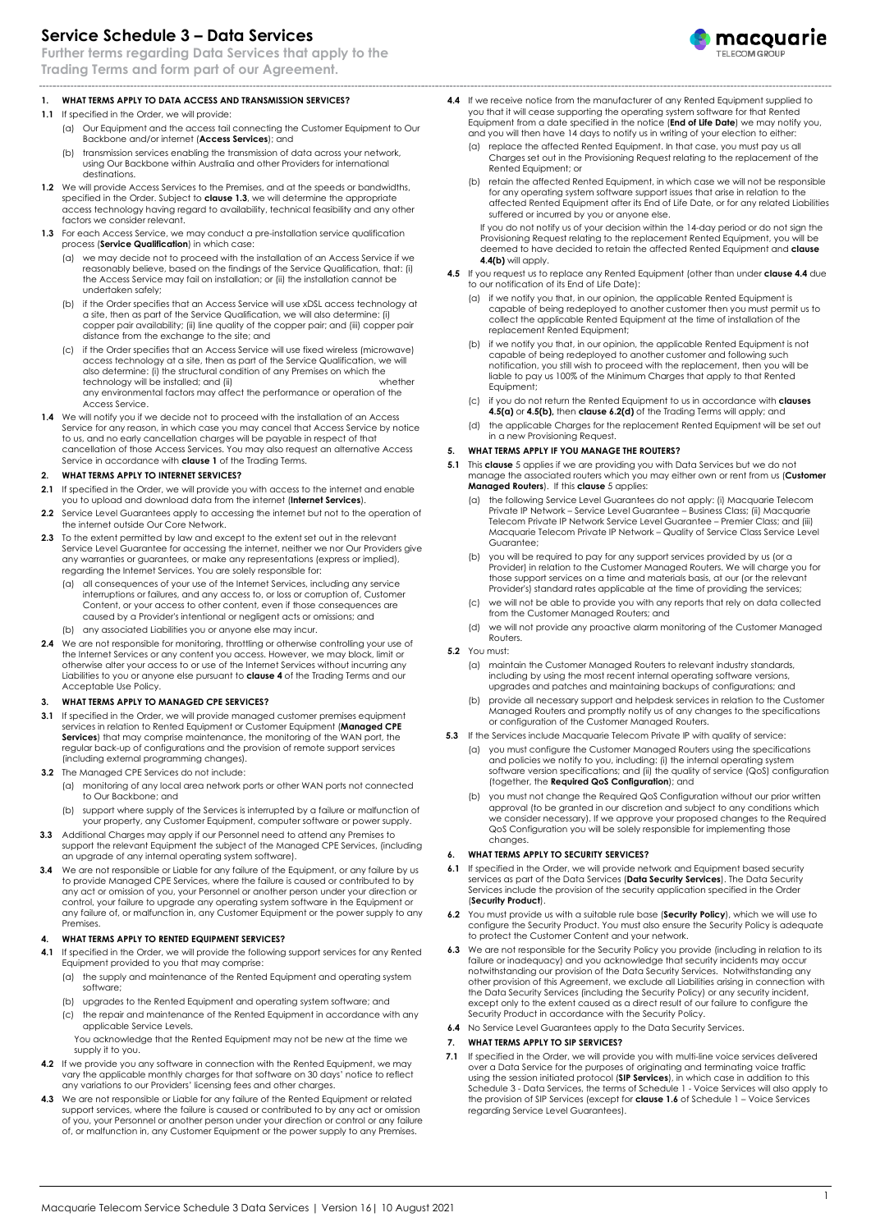# **Service Schedule 3 – Data Services**

**Further terms regarding Data Services that apply to the Trading Terms and form part of our Agreement.**

#### **1. WHAT TERMS APPLY TO DATA ACCESS AND TRANSMISSION SERVICES?**

- **1.1** If specified in the Order, we will provide:
	- (a) Our Equipment and the access tail connecting the Customer Equipment to Our Backbone and/or internet (**Access Services**); and
	- (b) transmission services enabling the transmission of data across your network, using Our Backbone within Australia and other Providers for international destinations.
- **1.2** We will provide Access Services to the Premises, and at the speeds or bandwidths, specified in the Order. Subject to **clause 1.3**, we will determine the appropriate access technology having regard to availability, technical feasibility and any other factors we consider relevant.
- **1.3** For each Access Service, we may conduct a pre-installation service qualification process (**Service Qualification**) in which case:
	- (a) we may decide not to proceed with the installation of an Access Service if we reasonably believe, based on the findings of the Service Qualification, that: (i) the Access Service may fail on installation; or (ii) the installation cannot be undertaken safely;
	- (b) if the Order specifies that an Access Service will use xDSL access technology at a site, then as part of the Service Qualification, we will also determine: (i) copper pair availability; (ii) line quality of the copper pair; and (iii) copper pair distance from the exchange to the site; and
	- (c) if the Order specifies that an Access Service will use fixed wireless (microwave) access technology at a site, then as part of the Service Qualification, we will also determine: (i) the structural condition of any Premises on which the technology will be installed; and (ii) whether any environmental factors may affect the performance or operation of the Access Service.
- **1.4** We will notify you if we decide not to proceed with the installation of an Access Service for any reason, in which case you may cancel that Access Service by notice to us, and no early cancellation charges will be payable in respect of that cancellation of those Access Services. You may also request an alternative Access Service in accordance with **clause 1** of the Trading Terms.

#### **2. WHAT TERMS APPLY TO INTERNET SERVICES?**

- **2.1** If specified in the Order, we will provide you with access to the internet and enable you to upload and download data from the internet (**Internet Services**).
- **2.2** Service Level Guarantees apply to accessing the internet but not to the operation of the internet outside Our Core Network.
- **2.3** To the extent permitted by law and except to the extent set out in the relevant Service Level Guarantee for accessing the internet, neither we nor Our Providers give any warranties or guarantees, or make any representations (express or implied), regarding the Internet Services. You are solely responsible for:
	- (a) all consequences of your use of the Internet Services, including any service interruptions or failures, and any access to, or loss or corruption of, Customer Content, or your access to other content, even if those consequences are caused by a Provider's intentional or negligent acts or omissions; and
	- (b) any associated Liabilities you or anyone else may incur.
- **2.4** We are not responsible for monitoring, throttling or otherwise controlling your use of the Internet Services or any content you access. However, we may block, limit or otherwise alter your access to or use of the Internet Services without incurring any Liabilities to you or anyone else pursuant to **clause 4** of the Trading Terms and our Acceptable Use Policy.

#### **3. WHAT TERMS APPLY TO MANAGED CPE SERVICES?**

- **3.1** If specified in the Order, we will provide managed customer premises equipment services in relation to Rented Equipment or Customer Equipment (**Managed CPE Services**) that may comprise maintenance, the monitoring of the WAN port, the regular back-up of configurations and the provision of remote support services (including external programming changes).
- **3.2** The Managed CPE Services do not include:
	- (a) monitoring of any local area network ports or other WAN ports not connected to Our Backbone; and
	- (b) support where supply of the Services is interrupted by a failure or malfunction of your property, any Customer Equipment, computer software or power supply.
- **3.3** Additional Charges may apply if our Personnel need to attend any Premises to support the relevant Equipment the subject of the Managed CPE Services, (including an upgrade of any internal operating system software).
- **3.4** We are not responsible or Liable for any failure of the Equipment, or any failure by us to provide Managed CPE Services, where the failure is caused or contributed to by any act or omission of you, your Personnel or another person under your direction or control, your failure to upgrade any operating system software in the Equipment or any failure of, or malfunction in, any Customer Equipment or the power supply to any Premises.

### **4. WHAT TERMS APPLY TO RENTED EQUIPMENT SERVICES?**

- **4.1** If specified in the Order, we will provide the following support services for any Rented Equipment provided to you that may comprise:
	- (a) the supply and maintenance of the Rented Equipment and operating system software;
	- (b) upgrades to the Rented Equipment and operating system software; and
	- (c) the repair and maintenance of the Rented Equipment in accordance with any applicable Service Levels.

You acknowledge that the Rented Equipment may not be new at the time we supply it to you.

- **4.2** If we provide you any software in connection with the Rented Equipment, we may vary the applicable monthly charges for that software on 30 days' notice to reflect any variations to our Providers' licensing fees and other charges.
- **4.3** We are not responsible or Liable for any failure of the Rented Equipment or related support services, where the failure is caused or contributed to by any act or omission of you, your Personnel or another person under your direction or control or any failure of, or malfunction in, any Customer Equipment or the power supply to any Premises.
- **4.4** If we receive notice from the manufacturer of any Rented Equipment supplied to you that it will cease supporting the operating system software for that Rented Equipment from a date specified in the notice (**End of Life Date**) we may notify you, and you will then have 14 days to notify us in writing of your election to either:
	- replace the affected Rented Equipment. In that case, you must pay us all Charges set out in the Provisioning Request relating to the replacement of the Rented Equipment; or
	- (b) retain the affected Rented Equipment, in which case we will not be responsible for any operating system software support issues that arise in relation to the affected Rented Equipment after its End of Life Date, or for any related Liabilities suffered or incurred by you or anyone else.

If you do not notify us of your decision within the 14-day period or do not sign the Provisioning Request relating to the replacement Rented Equipment, you will be deemed to have decided to retain the affected Rented Equipment and **clause 4.4(b)** will apply.

- **4.5** If you request us to replace any Rented Equipment (other than under **clause 4.4** due to our notification of its End of Life Date):
	- (a) if we notify you that, in our opinion, the applicable Rented Equipment is capable of being redeployed to another customer then you must permit us to collect the applicable Rented Equipment at the time of installation of the replacement Rented Equipment;
	- (b) if we notify you that, in our opinion, the applicable Rented Equipment is not capable of being redeployed to another customer and following such notification, you still wish to proceed with the replacement, then you will be liable to pay us 100% of the Minimum Charges that apply to that Rented Equipment;
	- (c) if you do not return the Rented Equipment to us in accordance with **clauses 4.5(a)** or **4.5(b),** then **clause 6.2(d)** of the Trading Terms will apply; and
	- (d) the applicable Charges for the replacement Rented Equipment will be set out in a new Provisioning Request.

### **5. WHAT TERMS APPLY IF YOU MANAGE THE ROUTERS?**

- **5.1** This **clause** 5 applies if we are providing you with Data Services but we do not manage the associated routers which you may either own or rent from us (**Customer Managed Routers**). If this **clause** 5 applies:
	- the following Service Level Guarantees do not apply: (i) Macquarie Telecom Private IP Network – Service Level Guarantee – Business Class; (ii) Macquarie Telecom Private IP Network Service Level Guarantee – Premier Class; and (iii) Macquarie Telecom Private IP Network – Quality of Service Class Service Level Guarantee;
	- (b) you will be required to pay for any support services provided by us (or a Provider) in relation to the Customer Managed Routers. We will charge you for those support services on a time and materials basis, at our (or the relevant Provider's) standard rates applicable at the time of providing the services;
	- (c) we will not be able to provide you with any reports that rely on data collected from the Customer Managed Routers; and
	- (d) we will not provide any proactive alarm monitoring of the Customer Managed Routers.
- **5.2** You must:
	- (a) maintain the Customer Managed Routers to relevant industry standards, including by using the most recent internal operating software versions, upgrades and patches and maintaining backups of configurations; and
	- provide all necessary support and helpdesk services in relation to the Customer Managed Routers and promptly notify us of any changes to the specifications or configuration of the Customer Managed Routers.
- **5.3** If the Services include Macquarie Telecom Private IP with quality of service:
	- (a) you must configure the Customer Managed Routers using the specifications and policies we notify to you, including: (i) the internal operating system software version specifications; and (ii) the quality of service (QoS) configuration (together, the **Required QoS Configuration**); and
	- (b) you must not change the Required QoS Configuration without our prior written approval (to be granted in our discretion and subject to any conditions which we consider necessary). If we approve your proposed changes to the Required QoS Configuration you will be solely responsible for implementing those changes.

#### **6. WHAT TERMS APPLY TO SECURITY SERVICES?**

- **6.1** If specified in the Order, we will provide network and Equipment based security services as part of the Data Services (**Data Security Services**). The Data Security Services include the provision of the security application specified in the Order (**Security Product**).
- **6.2** You must provide us with a suitable rule base (**Security Policy**), which we will use to configure the Security Product. You must also ensure the Security Policy is adequate to protect the Customer Content and your network.
- **6.3** We are not responsible for the Security Policy you provide (including in relation to its failure or inadequacy) and you acknowledge that security incidents may occur notwithstanding our provision of the Data Security Services. Notwithstanding any other provision of this Agreement, we exclude all Liabilities arising in connection with the Data Security Services (including the Security Policy) or any security incident, except only to the extent caused as a direct result of our failure to configure the Security Product in accordance with the Security Policy.
- **6.4** No Service Level Guarantees apply to the Data Security Services.
- **7. WHAT TERMS APPLY TO SIP SERVICES?**
- **7.1** If specified in the Order, we will provide you with multi-line voice services delivered over a Data Service for the purposes of originating and terminating voice traffic using the session initiated protocol (**SIP Services**), in which case in addition to this Schedule 3 - Data Services, the terms of Schedule 1 - Voice Services will also apply to the provision of SIP Services (except for **clause 1.6** of Schedule 1 – Voice Services regarding Service Level Guarantees).

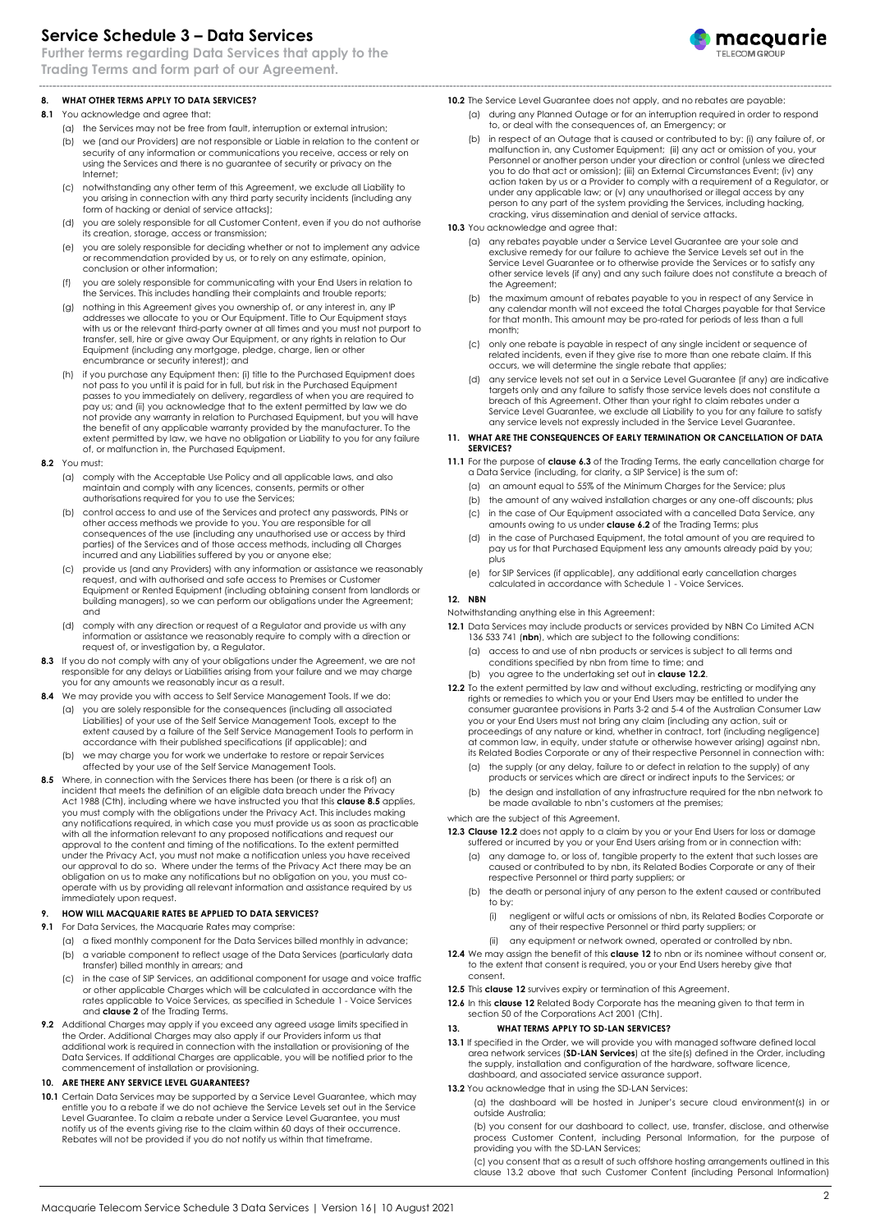# **Service Schedule 3 – Data Services**

**Further terms regarding Data Services that apply to the Trading Terms and form part of our Agreement.**

## **8. WHAT OTHER TERMS APPLY TO DATA SERVICES?**

## 8.1 You acknowledge and agree that:

- (a) the Services may not be free from fault, interruption or external intrusion;
- (b) we (and our Providers) are not responsible or Liable in relation to the content or security of any information or communications you receive, access or rely on using the Services and there is no guarantee of security or privacy on the Internet;
- (c) notwithstanding any other term of this Agreement, we exclude all Liability to you arising in connection with any third party security incidents (including any form of hacking or denial of service attacks);
- (d) you are solely responsible for all Customer Content, even if you do not authorise its creation, storage, access or transmission;
- (e) you are solely responsible for deciding whether or not to implement any advice or recommendation provided by us, or to rely on any estimate, opinion, conclusion or other information;
- (f) you are solely responsible for communicating with your End Users in relation to the Services. This includes handling their complaints and trouble reports;
- (g) nothing in this Agreement gives you ownership of, or any interest in, any IP addresses we allocate to you or Our Equipment. Title to Our Equipment stays with us or the relevant third-party owner at all times and you must not purport to transfer, sell, hire or give away Our Equipment, or any rights in relation to Our Equipment (including any mortgage, pledge, charge, lien or other encumbrance or security interest); and
- (h) if you purchase any Equipment then: (i) title to the Purchased Equipment does not pass to you until it is paid for in full, but risk in the Purchased Equipment passes to you immediately on delivery, regardless of when you are required to pay us; and (ii) you acknowledge that to the extent permitted by law we do not provide any warranty in relation to Purchased Equipment, but you will have the benefit of any applicable warranty provided by the manufacturer. To the extent permitted by law, we have no obligation or Liability to you for any failure of, or malfunction in, the Purchased Equipment.
- **8.2** You must:
	- (a) comply with the Acceptable Use Policy and all applicable laws, and also maintain and comply with any licences, consents, permits or other authorisations required for you to use the Services;
	- control access to and use of the Services and protect any passwords, PINs or other access methods we provide to you. You are responsible for all consequences of the use (including any unauthorised use or access by third parties) of the Services and of those access methods, including all Charges incurred and any Liabilities suffered by you or anyone else;
	- provide us (and any Providers) with any information or assistance we reasonably request, and with authorised and safe access to Premises or Customer Equipment or Rented Equipment (including obtaining consent from landlords or building managers), so we can perform our obligations under the Agreement; and
	- (d) comply with any direction or request of a Regulator and provide us with any information or assistance we reasonably require to comply with a direction or request of, or investigation by, a Regulator.
- **8.3** If you do not comply with any of your obligations under the Agreement, we are not responsible for any delays or Liabilities arising from your failure and we may charge you for any amounts we reasonably incur as a result.
- **8.4** We may provide you with access to Self Service Management Tools. If we do: (a) you are solely responsible for the consequences (including all associated Liabilities) of your use of the Self Service Management Tools, except to the extent caused by a failure of the Self Service Management Tools to perform in accordance with their published specifications (if applicable); and
	- (b) we may charge you for work we undertake to restore or repair Services affected by your use of the Self Service Management Tools.
- **8.5** Where, in connection with the Services there has been (or there is a risk of) an incident that meets the definition of an eligible data breach under the Privacy Act 1988 (Cth), including where we have instructed you that this **clause 8.5** applies, you must comply with the obligations under the Privacy Act. This includes making any notifications required, in which case you must provide us as soon as practicable with all the information relevant to any proposed notifications and request our approval to the content and timing of the notifications. To the extent permitted<br>under the Privacy Act, you must not make a notification unless you have received<br>our approval to do so. Where under the terms of the Privacy obligation on us to make any notifications but no obligation on you, you must cooperate with us by providing all relevant information and assistance required by us immediately upon request.

#### **9. HOW WILL MACQUARIE RATES BE APPLIED TO DATA SERVICES?**

- **9.1** For Data Services, the Macquarie Rates may comprise:
	- (a) a fixed monthly component for the Data Services billed monthly in advance; (b) a variable component to reflect usage of the Data Services (particularly data transfer) billed monthly in arrears; and
	- (c) in the case of SIP Services, an additional component for usage and voice traffic or other applicable Charges which will be calculated in accordance with the rates applicable to Voice Services, as specified in Schedule 1 - Voice Services and **clause 2** of the Trading Terms.
- **9.2** Additional Charges may apply if you exceed any agreed usage limits specified in the Order. Additional Charges may also apply if our Providers inform us that additional work is required in connection with the installation or provisioning of the Data Services. If additional Charges are applicable, you will be notified prior to the commencement of installation or provisioning.

## **10. ARE THERE ANY SERVICE LEVEL GUARANTEES?**

**10.1** Certain Data Services may be supported by a Service Level Guarantee, which may entitle you to a rebate if we do not achieve the Service Levels set out in the Service Level Guarantee. To claim a rebate under a Service Level Guarantee, you must notify us of the events giving rise to the claim within 60 days of their occurrence. Rebates will not be provided if you do not notify us within that timeframe.

- **10.2** The Service Level Guarantee does not apply, and no rebates are payable:
	- (a) during any Planned Outage or for an interruption required in order to respond to, or deal with the consequences of, an Emergency; or
		- (b) in respect of an Outage that is caused or contributed to by: (i) any failure of, or malfunction in, any Customer Equipment; (ii) any act or omission of you, your Personnel or another person under your direction or control (unless we directed you to do that act or omission); (iii) an External Circumstances Event; (iv) any action taken by us or a Provider to comply with a requirement of a Regulator, or under any applicable law; or (v) any unauthorised or illegal access by any person to any part of the system providing the Services, including hacking, cracking, virus dissemination and denial of service attacks.

#### **10.3** You acknowledge and agree that:

- (a) any rebates payable under a Service Level Guarantee are your sole and exclusive remedy for our failure to achieve the Service Levels set out in the Service Level Guarantee or to otherwise provide the Services or to satisfy any other service levels (if any) and any such failure does not constitute a breach of the Agreement;
- (b) the maximum amount of rebates payable to you in respect of any Service in any calendar month will not exceed the total Charges payable for that Service for that month. This amount may be pro-rated for periods of less than a full month;
- (c) only one rebate is payable in respect of any single incident or sequence of related incidents, even if they give rise to more than one rebate claim. If this occurs, we will determine the single rebate that applies;
- (d) any service levels not set out in a Service Level Guarantee (if any) are indicative targets only and any failure to satisfy those service levels does not constitute a breach of this Agreement. Other than your right to claim rebates under a Service Level Guarantee, we exclude all Liability to you for any failure to satisfy any service levels not expressly included in the Service Level Guarantee.

#### **11. WHAT ARE THE CONSEQUENCES OF EARLY TERMINATION OR CANCELLATION OF DATA SERVICES?**

- **11.1** For the purpose of **clause 6.3** of the Trading Terms, the early cancellation charge for a Data Service (including, for clarity, a SIP Service) is the sum of:
	- (a) an amount equal to 55% of the Minimum Charges for the Service; plus
	- (b) the amount of any waived installation charges or any one-off discounts; plus (c) in the case of Our Equipment associated with a cancelled Data Service, any amounts owing to us under **clause 6.2** of the Trading Terms; plus
	- (d) in the case of Purchased Equipment, the total amount of you are required to pay us for that Purchased Equipment less any amounts already paid by you; plus
	- (e) for SIP Services (if applicable), any additional early cancellation charges calculated in accordance with Schedule 1 - Voice Services.

## **12. NBN**

Notwithstanding anything else in this Agreement:

- **12.1** Data Services may include products or services provided by NBN Co Limited ACN 136 533 741 (**nbn**), which are subject to the following conditions:
	- (a) access to and use of nbn products or services is subject to all terms and conditions specified by nbn from time to time; and
	- (b) you agree to the undertaking set out in **clause 12.2**.
- 12.2 To the extent permitted by law and without excluding, restricting or modifying any rights or remedies to which you or your End Users may be entitled to under the consumer guarantee provisions in Parts 3-2 and 5-4 of the Australian Consumer Law you or your End Users must not bring any claim (including any action, suit or proceedings of any nature or kind, whether in contract, tort (including negligence) at common law, in equity, under statute or otherwise however arising) against nbn, its Related Bodies Corporate or any of their respective Personnel in connection with:
	- (a) the supply (or any delay, failure to or defect in relation to the supply) of any products or services which are direct or indirect inputs to the Services; or
	- (b) the design and installation of any infrastructure required for the nbn network to be made available to nbn's customers at the premises;

#### which are the subject of this Agreement.

**12.3 Clause 12.2** does not apply to a claim by you or your End Users for loss or damage suffered or incurred by you or your End Users arising from or in connection with:

- (a) any damage to, or loss of, tangible property to the extent that such losses are caused or contributed to by nbn, its Related Bodies Corporate or any of their respective Personnel or third party suppliers; or
- (b) the death or personal injury of any person to the extent caused or contributed to by:
	- (i) negligent or wilful acts or omissions of nbn, its Related Bodies Corporate or any of their respective Personnel or third party suppliers; or
	- (ii) any equipment or network owned, operated or controlled by nbn.
- 12.4 We may assign the benefit of this **clause 12** to nbn or its nominee without consent or, to the extent that consent is required, you or your End Users hereby give that consent.
- **12.5** This **clause 12** survives expiry or termination of this Agreement.
- **12.6** In this **clause 12** Related Body Corporate has the meaning given to that term in section 50 of the Corporations Act 2001 (Cth).

#### **13. WHAT TERMS APPLY TO SD-LAN SERVICES?**

- **13.1** If specified in the Order, we will provide you with managed software defined local area network services (**SD-LAN Services**) at the site(s) defined in the Order, including the supply, installation and configuration of the hardware, software licence, dashboard, and associated service assurance support.
- **13.2** You acknowledge that in using the SD-LAN Services:

(a) the dashboard will be hosted in Juniper's secure cloud environment(s) in or outside Australia;

(b) you consent for our dashboard to collect, use, transfer, disclose, and otherwise process Customer Content, including Personal Information, for the purpose of providing you with the SD-LAN Services;

(c) you consent that as a result of such offshore hosting arrangements outlined in this clause 13.2 above that such Customer Content (including Personal Information)